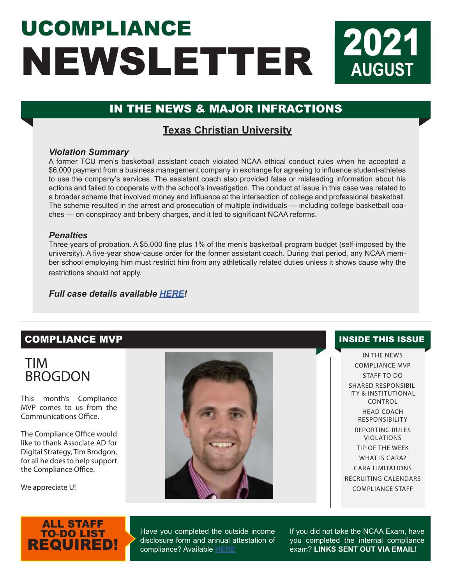# UCOMPLIANCE NEWSLETTER **2021 AUGUST**

## IN THE NEWS & MAJOR INFRACTIONS

## **Texas Christian University**

#### *Violation Summary*

A former TCU men's basketball assistant coach violated NCAA ethical conduct rules when he accepted a \$6,000 payment from a business management company in exchange for agreeing to influence student-athletes to use the company's services. The assistant coach also provided false or misleading information about his actions and failed to cooperate with the school's investigation. The conduct at issue in this case was related to a broader scheme that involved money and influence at the intersection of college and professional basketball. The scheme resulted in the arrest and prosecution of multiple individuals — including college basketball coaches — on conspiracy and bribery charges, and it led to significant NCAA reforms.

#### *Penalties*

Three years of probation. A \$5,000 fine plus 1% of the men's basketball program budget (self-imposed by the university). A five-year show-cause order for the former assistant coach. During that period, any NCAA member school employing him must restrict him from any athletically related duties unless it shows cause why the restrictions should not apply.

*Full case details available [HERE](https://web3.ncaa.org/lsdbi/search/miCaseView/report?id=102918)!*

### **COMPLIANCE MVP INSIDE THIS ISSUE**

# TIM BROGDON

This month's Compliance MVP comes to us from the Communications Office.

The Compliance Office would like to thank Associate AD for Digital Strategy, Tim Brodgon, for all he does to help support the Compliance Office.

We appreciate U!



IN THE NEWS COMPLIANCE MVP STAFF TO DO SHARED RESPONSIBIL-ITY & INSTITUTIONAL CONTROL HEAD COACH RESPONSIBILITY REPORTING RULES VIOLATIONS TIP OF THE WEEK WHAT IS CARA? CARA LIMITATIONS RECRUITING CALENDARS COMPLIANCE STAFF

## ALL STAFF TO-DO LIST REQUIRED!

Have you completed the outside income disclosure form and annual attestation of compliance? Available **[HERE](https://www.teamworksapp.com/ext/AB4EA987-CC4D-0FD0-DD63284C1095E1AD)**

If you did not take the NCAA Exam, have you completed the internal compliance exam? **LINKS SENT OUT VIA EMAIL!**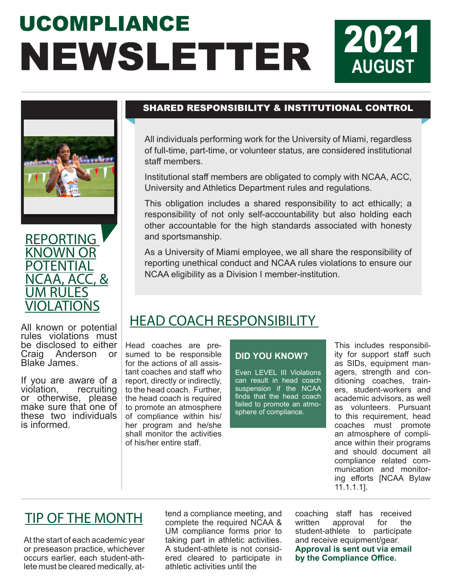# UCOMPLIANCE NEWSLETTER 2021





All known or potential rules violations must be disclosed to either<br>Craig Anderson or Anderson or Blake James.

If you are aware of a violation, recruiting or otherwise, please make sure that one of these two individuals is informed.

### SHARED RESPONSIBILITY & INSTITUTIONAL CONTROL

All individuals performing work for the University of Miami, regardless of full-time, part-time, or volunteer status, are considered institutional staff members.

Institutional staff members are obligated to comply with NCAA, ACC, University and Athletics Department rules and regulations.

This obligation includes a shared responsibility to act ethically; a responsibility of not only self-accountability but also holding each other accountable for the high standards associated with honesty and sportsmanship.

As a University of Miami employee, we all share the responsibility of reporting unethical conduct and NCAA rules violations to ensure our NCAA eligibility as a Division I member-institution.

# HEAD COACH RESPONSIBILITY

Head coaches are presumed to be responsible for the actions of all assistant coaches and staff who report, directly or indirectly, to the head coach. Further, the head coach is required to promote an atmosphere of compliance within his/ her program and he/she shall monitor the activities of his/her entire staff.

#### **DID YOU KNOW?**

Even LEVEL III Violations can result in head coach suspension if the NCAA finds that the head coach failed to promote an atmosphere of compliance.

This includes responsibility for support staff such as SIDs, equipment managers, strength and conditioning coaches, trainers, student-workers and academic advisors, as well as volunteers. Pursuant to this requirement, head coaches must promote an atmosphere of compliance within their programs and should document all compliance related communication and monitoring efforts [NCAA Bylaw 11.1.1.1].

**AUGUST**

# TIP OF THE MONTH

At the start of each academic year or preseason practice, whichever occurs earlier, each student-athlete must be cleared medically, at-

tend a compliance meeting, and complete the required NCAA & UM compliance forms prior to taking part in athletic activities. A student-athlete is not considered cleared to participate in athletic activities until the

coaching staff has received approval student-athlete to participate and receive equipment/gear. **Approval is sent out via email by the Compliance Office.**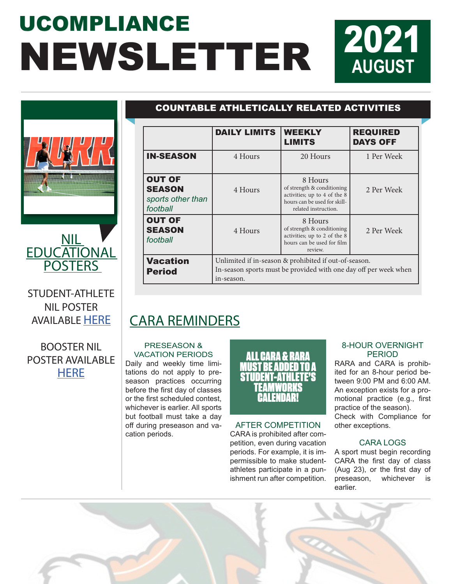# UCOMPLIANCE NEWSLETTER 2021





STUDENT-ATHLETE NIL POSTER AVAILABLE [HERE](https://storage.googleapis.com/hurricanesports-com/2021/07/573d8db0-student-athlete-nil-policy-poster_miami.pdf)

**POSTERS** 

BOOSTER NIL POSTER AVAILABLE **[HERE](https://storage.googleapis.com/hurricanesports-com/2021/07/097c2e1f-booster-nil-policy-handout.pdf)** 

## COUNTABLE ATHLETICALLY RELATED ACTIVITIES

|                                                                 | <b>DAILY LIMITS</b>                                                                                                                     | <b>WEEKLY</b><br><b>LIMITS</b>                                                                                                | <b>REQUIRED</b><br><b>DAYS OFF</b> |  |  |  |
|-----------------------------------------------------------------|-----------------------------------------------------------------------------------------------------------------------------------------|-------------------------------------------------------------------------------------------------------------------------------|------------------------------------|--|--|--|
| <b>IN-SEASON</b>                                                | 4 Hours                                                                                                                                 | 20 Hours                                                                                                                      | 1 Per Week                         |  |  |  |
| <b>OUT OF</b><br><b>SEASON</b><br>sports other than<br>football | 4 Hours                                                                                                                                 | 8 Hours<br>of strength & conditioning<br>activities; up to 4 of the 8<br>hours can be used for skill-<br>related instruction. | 2 Per Week                         |  |  |  |
| <b>OUT OF</b><br><b>SEASON</b><br>football                      | 4 Hours                                                                                                                                 | 8 Hours<br>of strength & conditioning<br>activities; up to 2 of the 8<br>hours can be used for film<br>review.                | 2 Per Week                         |  |  |  |
| <b>Vacation</b><br><b>Period</b>                                | Unlimited if in-season & prohibited if out-of-season.<br>In-season sports must be provided with one day off per week when<br>in-season. |                                                                                                                               |                                    |  |  |  |

# CARA REMINDERS

#### PRESEASON & VACATION PERIODS

Daily and weekly time limitations do not apply to preseason practices occurring before the first day of classes or the first scheduled contest, whichever is earlier. All sports but football must take a day off during preseason and vacation periods.

ALL CARA & RARA **TRE ADDED** STUDENT-ATHLETE'S TEAMWORKS CALENDAR!

AFTER COMPETITION CARA is prohibited after competition, even during vacation periods. For example, it is impermissible to make studentathletes participate in a punishment run after competition.

#### 8-HOUR OVERNIGHT PERIOD

RARA and CARA is prohibited for an 8-hour period between 9:00 PM and 6:00 AM. An exception exists for a promotional practice (e.g., first practice of the season). Check with Compliance for other exceptions.

#### CARA LOGS

A sport must begin recording CARA the first day of class (Aug 23), or the first day of preseason, whichever is earlier.